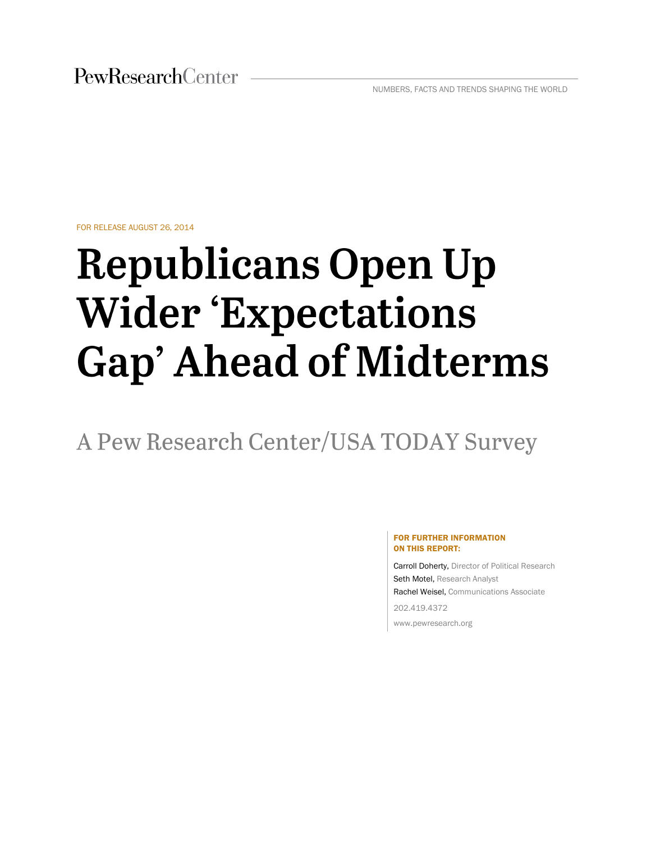FOR RELEASE AUGUST 26, 2014

# **Republicans Open Up Wider 'Expectations Gap' Ahead of Midterms**

A Pew Research Center/USA TODAY Survey

#### FOR FURTHER INFORMATION ON THIS REPORT:

Carroll Doherty, Director of Political Research Seth Motel, Research Analyst Rachel Weisel, Communications Associate 202.419.4372

www.pewresearch.org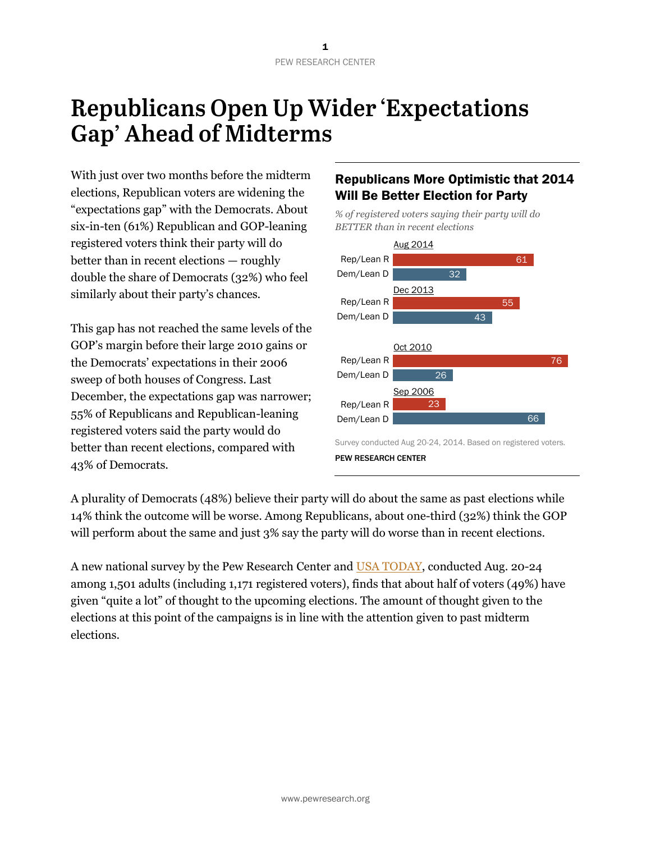# **Republicans Open Up Wider 'Expectations' Gap' Ahead of Midterms**

With just over two months before the midterm elections, Republican voters are widening the "expectations gap" with the Democrats. About six-in-ten (61%) Republican and GOP-leaning registered voters think their party will do better than in recent elections — roughly double the share of Democrats (32%) who feel similarly about their party's chances.

This gap has not reached the same levels of the GOP's margin before their large 2010 gains or the Democrats' expectations in their 2006 sweep of both houses of Congress. Last December, the expectations gap was narrower; 55% of Republicans and Republican-leaning registered voters said the party would do better than recent elections, compared with 43% of Democrats.

### Republicans More Optimistic that 2014 Will Be Better Election for Party

*% of registered voters saying their party will do BETTER than in recent elections*



A plurality of Democrats (48%) believe their party will do about the same as past elections while 14% think the outcome will be worse. Among Republicans, about one-third (32%) think the GOP will perform about the same and just 3% say the party will do worse than in recent elections.

A new national survey by the Pew Research Center and [USA TODAY,](http://onpolitics.usatoday.com/2014/08/26/congress-expectations-gap-republicans-pew/) conducted Aug. 20-24 among 1,501 adults (including 1,171 registered voters), finds that about half of voters (49%) have given "quite a lot" of thought to the upcoming elections. The amount of thought given to the elections at this point of the campaigns is in line with the attention given to past midterm elections.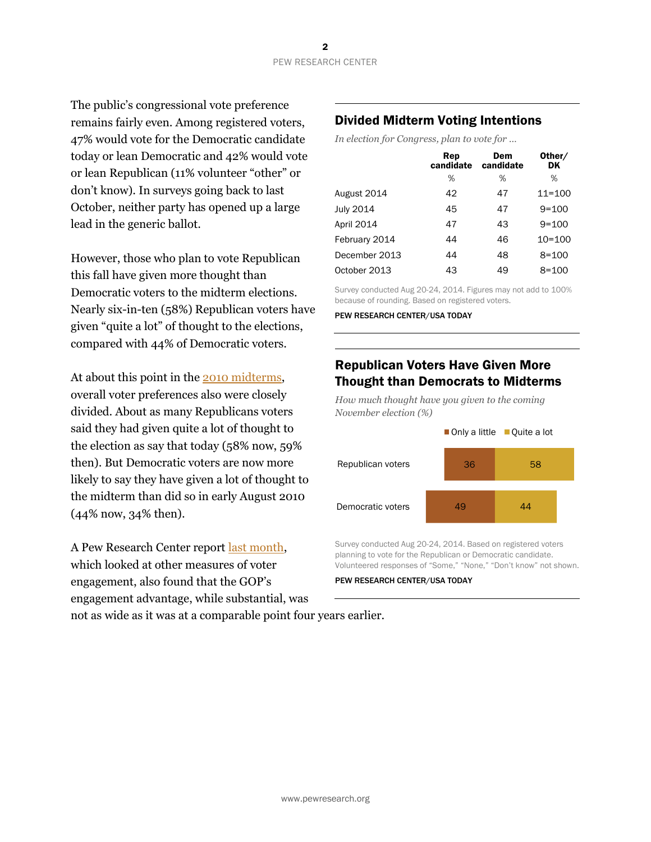The public's congressional vote preference remains fairly even. Among registered voters, 47% would vote for the Democratic candidate today or lean Democratic and 42% would vote or lean Republican (11% volunteer "other" or don't know). In surveys going back to last October, neither party has opened up a large lead in the generic ballot.

However, those who plan to vote Republican this fall have given more thought than Democratic voters to the midterm elections. Nearly six-in-ten (58%) Republican voters have given "quite a lot" of thought to the elections, compared with 44% of Democratic voters.

At about this point in th[e 2010 midterms](http://www.people-press.org/2010/08/10/republicans-faring-better-with-men-whites-independents-and-seniors/), overall voter preferences also were closely divided. About as many Republicans voters said they had given quite a lot of thought to the election as say that today (58% now, 59% then). But Democratic voters are now more likely to say they have given a lot of thought to the midterm than did so in early August 2010 (44% now, 34% then).

A Pew Research Center report [last month,](http://www.people-press.org/2014/07/24/gop-has-midterm-engagement-advantage/) which looked at other measures of voter engagement, also found that the GOP's engagement advantage, while substantial, was not as wide as it was at a comparable point four years earlier.

### Divided Midterm Voting Intentions

*In election for Congress, plan to vote for …*

|               | Rep<br>candidate | Dem<br>candidate | Other/<br>DK |
|---------------|------------------|------------------|--------------|
|               | %                | %                | %            |
| August 2014   | 42               | 47               | $11 = 100$   |
| July 2014     | 45               | 47               | $9 = 100$    |
| April 2014    | 47               | 43               | $9 = 100$    |
| February 2014 | 44               | 46               | $10 = 100$   |
| December 2013 | 44               | 48               | $8 = 100$    |
| October 2013  | 43               | 49               | $8 = 100$    |
|               |                  |                  |              |

Survey conducted Aug 20-24, 2014. Figures may not add to 100% because of rounding. Based on registered voters.

PEW RESEARCH CENTER/USA TODAY

### Republican Voters Have Given More Thought than Democrats to Midterms

*How much thought have you given to the coming November election (%)*



Survey conducted Aug 20-24, 2014. Based on registered voters planning to vote for the Republican or Democratic candidate. Volunteered responses of "Some," "None," "Don't know" not shown.

#### PEW RESEARCH CENTER/USA TODAY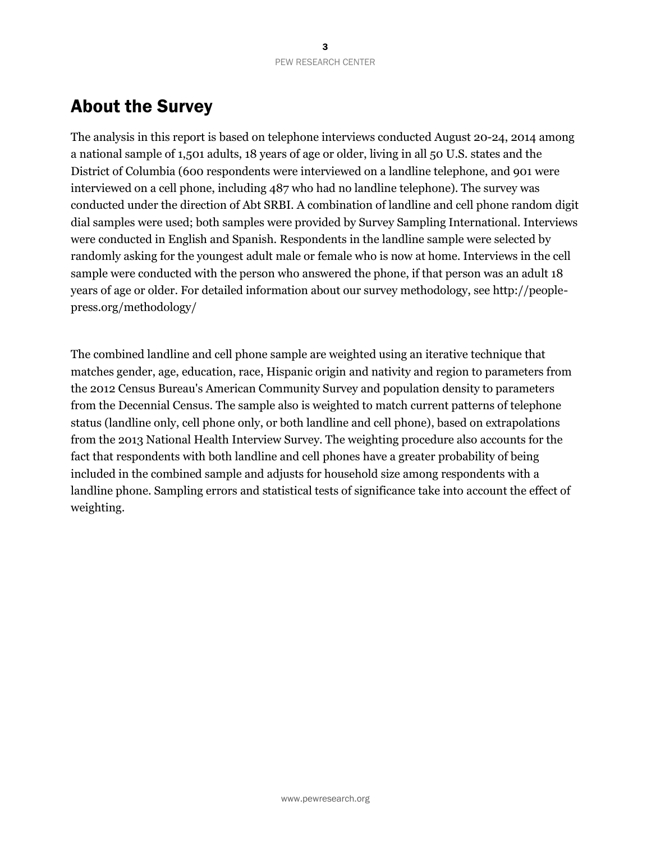## About the Survey

The analysis in this report is based on telephone interviews conducted August 20-24, 2014 among a national sample of 1,501 adults, 18 years of age or older, living in all 50 U.S. states and the District of Columbia (600 respondents were interviewed on a landline telephone, and 901 were interviewed on a cell phone, including 487 who had no landline telephone). The survey was conducted under the direction of Abt SRBI. A combination of landline and cell phone random digit dial samples were used; both samples were provided by Survey Sampling International. Interviews were conducted in English and Spanish. Respondents in the landline sample were selected by randomly asking for the youngest adult male or female who is now at home. Interviews in the cell sample were conducted with the person who answered the phone, if that person was an adult 18 years of age or older. For detailed information about our survey methodology, see http://peoplepress.org/methodology/

The combined landline and cell phone sample are weighted using an iterative technique that matches gender, age, education, race, Hispanic origin and nativity and region to parameters from the 2012 Census Bureau's American Community Survey and population density to parameters from the Decennial Census. The sample also is weighted to match current patterns of telephone status (landline only, cell phone only, or both landline and cell phone), based on extrapolations from the 2013 National Health Interview Survey. The weighting procedure also accounts for the fact that respondents with both landline and cell phones have a greater probability of being included in the combined sample and adjusts for household size among respondents with a landline phone. Sampling errors and statistical tests of significance take into account the effect of weighting.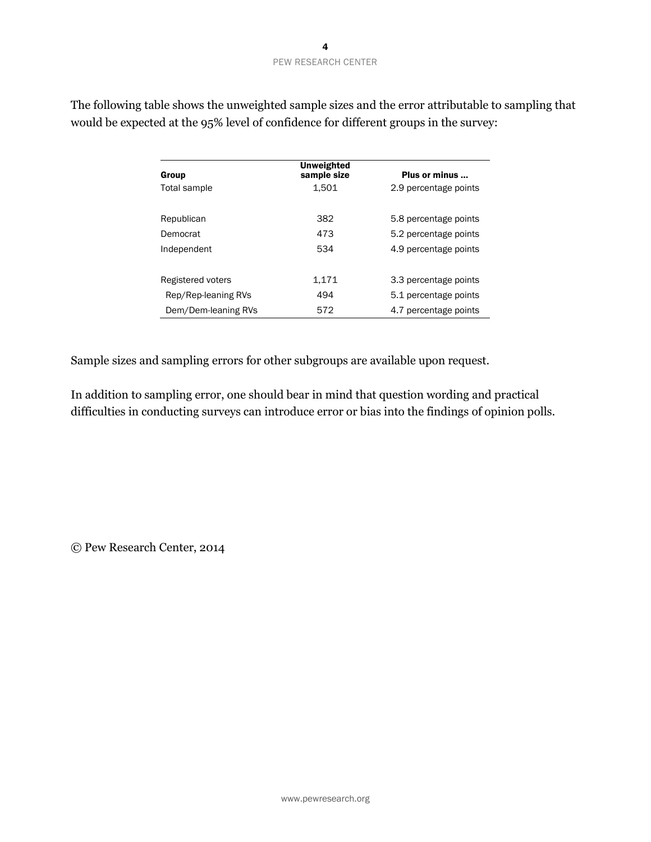| Group               | Unweighted<br>sample size | Plus or minus         |
|---------------------|---------------------------|-----------------------|
| Total sample        | 1.501                     | 2.9 percentage points |
| Republican          | 382                       | 5.8 percentage points |
| Democrat            | 473                       | 5.2 percentage points |
| Independent         | 534                       | 4.9 percentage points |
| Registered voters   | 1.171                     | 3.3 percentage points |
| Rep/Rep-leaning RVs | 494                       | 5.1 percentage points |
| Dem/Dem-leaning RVs | 572                       | 4.7 percentage points |

The following table shows the unweighted sample sizes and the error attributable to sampling that would be expected at the 95% level of confidence for different groups in the survey:

Sample sizes and sampling errors for other subgroups are available upon request.

In addition to sampling error, one should bear in mind that question wording and practical difficulties in conducting surveys can introduce error or bias into the findings of opinion polls.

© Pew Research Center, 2014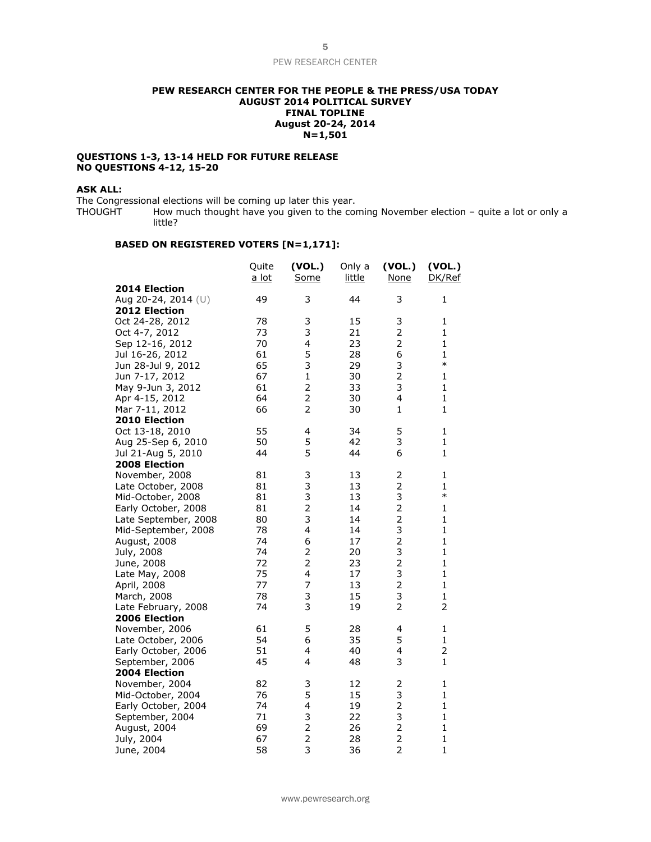#### **PEW RESEARCH CENTER FOR THE PEOPLE & THE PRESS/USA TODAY AUGUST 2014 POLITICAL SURVEY FINAL TOPLINE August 20-24, 2014 N=1,501**

#### **QUESTIONS 1-3, 13-14 HELD FOR FUTURE RELEASE NO QUESTIONS 4-12, 15-20**

#### **ASK ALL:**

The Congressional elections will be coming up later this year.<br>THOUGHT How much thought have you given to the cor How much thought have you given to the coming November election – quite a lot or only a little?

#### **BASED ON REGISTERED VOTERS [N=1,171]:**

|                      | Quite<br>a lot | (VOL.)<br>Some | Only a<br>little | (VOL.)<br><b>None</b> | (VOL.)<br>DK/Ref |
|----------------------|----------------|----------------|------------------|-----------------------|------------------|
| 2014 Election        |                |                |                  |                       |                  |
| Aug 20-24, 2014 (U)  | 49             | 3              | 44               | 3                     | 1                |
| 2012 Election        |                |                |                  |                       |                  |
| Oct 24-28, 2012      | 78             | 3              | 15               | 3                     | 1                |
| Oct 4-7, 2012        | 73             | 3              | 21               | $\overline{2}$        | $\mathbf{1}$     |
| Sep 12-16, 2012      | 70             | 4              | 23               | $\overline{2}$        | $\mathbf{1}$     |
| Jul 16-26, 2012      | 61             | 5              | 28               | 6                     | $\mathbf{1}$     |
| Jun 28-Jul 9, 2012   | 65             | 3              | 29               | 3                     | $\ast$           |
| Jun 7-17, 2012       | 67             | $\mathbf{1}$   | 30               | $\overline{2}$        | $\mathbf{1}$     |
| May 9-Jun 3, 2012    | 61             | $\overline{2}$ | 33               | 3                     | $\mathbf{1}$     |
| Apr 4-15, 2012       | 64             | $\overline{2}$ | 30               | 4                     | $\mathbf{1}$     |
| Mar 7-11, 2012       | 66             | 2              | 30               | 1                     | $\mathbf{1}$     |
| 2010 Election        |                |                |                  |                       |                  |
| Oct 13-18, 2010      | 55             | 4              | 34               | 5                     | 1                |
| Aug 25-Sep 6, 2010   | 50             | 5              | 42               | 3                     | $\mathbf{1}$     |
| Jul 21-Aug 5, 2010   | 44             | 5              | 44               | 6                     | $\mathbf{1}$     |
| 2008 Election        |                |                |                  |                       |                  |
| November, 2008       | 81             | 3              | 13               | 2                     | 1                |
| Late October, 2008   | 81             | 3              | 13               | $\overline{c}$        | 1                |
| Mid-October, 2008    | 81             | 3              | 13               | 3                     | $\ast$           |
| Early October, 2008  | 81             | $\overline{c}$ | 14               | $\overline{2}$        | $\mathbf{1}$     |
| Late September, 2008 | 80             | 3              | 14               | $\overline{2}$        | $\mathbf{1}$     |
| Mid-September, 2008  | 78             | 4              | 14               | 3                     | $\mathbf{1}$     |
| August, 2008         | 74             | 6              | 17               | $\overline{2}$        | $\mathbf{1}$     |
| July, 2008           | 74             | 2              | 20               | 3                     | $\mathbf{1}$     |
| June, 2008           | 72             | $\overline{2}$ | 23               | $\overline{2}$        | $\mathbf{1}$     |
| Late May, 2008       | 75             | 4              | 17               | 3                     | $\mathbf{1}$     |
| April, 2008          | 77             | $\overline{7}$ | 13               | $\overline{2}$        | $\mathbf{1}$     |
| March, 2008          | 78             | 3              | 15               | 3                     | $\mathbf{1}$     |
| Late February, 2008  | 74             | 3              | 19               | 2                     | 2                |
| 2006 Election        |                |                |                  |                       |                  |
| November, 2006       | 61             | 5              | 28               | 4                     | 1                |
| Late October, 2006   | 54             | 6              | 35               | 5                     | $\mathbf{1}$     |
| Early October, 2006  | 51             | 4              | 40               | 4                     | 2                |
| September, 2006      | 45             | 4              | 48               | 3                     | $\mathbf{1}$     |
| 2004 Election        |                |                |                  |                       |                  |
| November, 2004       | 82             | 3              | 12               | 2                     | 1                |
| Mid-October, 2004    | 76             | 5              | 15               | 3                     | $\mathbf{1}$     |
| Early October, 2004  | 74             | 4              | 19               | $\overline{c}$        | $\mathbf{1}$     |
| September, 2004      | 71             | 3              | 22               | 3                     | $\mathbf{1}$     |
| August, 2004         | 69             | $\frac{2}{2}$  | 26               | $\overline{c}$        | $\mathbf{1}$     |
| July, 2004           | 67             |                | 28               | $\overline{2}$        | $\mathbf{1}$     |
| June, 2004           | 58             | $\overline{3}$ | 36               | $\overline{2}$        | $\mathbf{1}$     |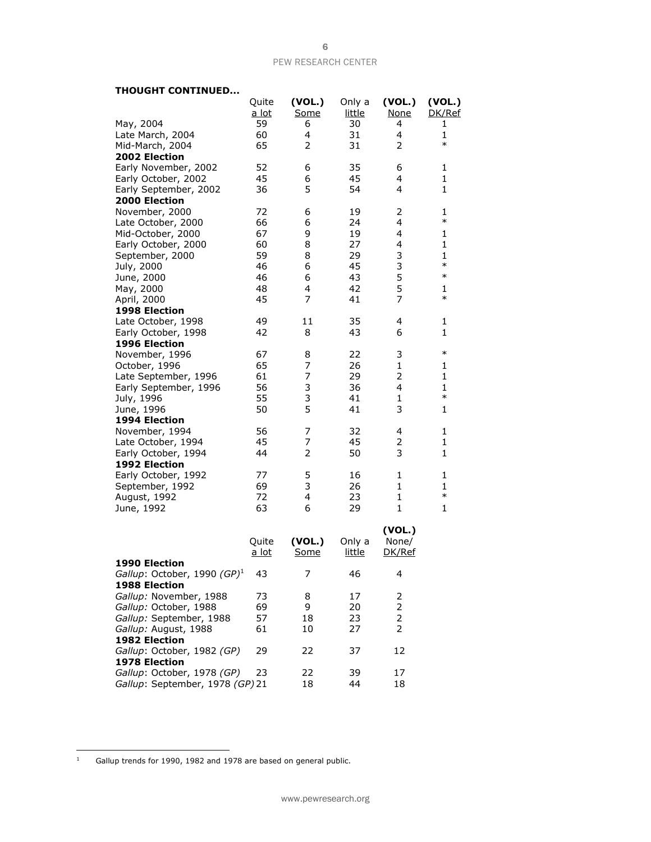#### **THOUGHT CONTINUED...**

|                                         | Quite        | (VOL.)      | Only a        | (VOL.)         | (VOL.)       |
|-----------------------------------------|--------------|-------------|---------------|----------------|--------------|
|                                         | <u>a lot</u> | Some        | <u>little</u> | <b>None</b>    | DK/Ref       |
| May, 2004                               | 59           | 6           | 30            | 4              | 1            |
| Late March, 2004                        | 60           | 4           | 31            | $\overline{4}$ | $\mathbf{1}$ |
| Mid-March, 2004                         | 65           | 2           | 31            | 2              | $\ast$       |
| 2002 Election                           |              |             |               |                |              |
| Early November, 2002                    | 52           | 6           | 35            | 6              | 1            |
| Early October, 2002                     | 45           | 6           | 45            | 4              | 1            |
| Early September, 2002                   | 36           | 5           | 54            | 4              | 1            |
| 2000 Election                           |              |             |               |                |              |
| November, 2000                          | 72           | 6           | 19            | 2              | 1            |
|                                         | 66           |             | 24            | 4              | $\ast$       |
| Late October, 2000                      |              | 6           |               |                |              |
| Mid-October, 2000                       | 67           | 9           | 19            | 4              | 1            |
| Early October, 2000                     | 60           | 8           | 27            | 4              | $\mathbf{1}$ |
| September, 2000                         | 59           | 8           | 29            | 3              | $\mathbf{1}$ |
| July, 2000                              | 46           | 6           | 45            | 3              | $\ast$       |
| June, 2000                              | 46           | 6           | 43            | 5              | $\ast$       |
| May, 2000                               | 48           | 4           | 42            | 5              | $\mathbf{1}$ |
| April, 2000                             | 45           | 7           | 41            | 7              | $\ast$       |
| 1998 Election                           |              |             |               |                |              |
| Late October, 1998                      | 49           | 11          | 35            | 4              | 1            |
| Early October, 1998                     | 42           | 8           | 43            | 6              | $\mathbf{1}$ |
| 1996 Election                           |              |             |               |                |              |
| November, 1996                          | 67           | 8           | 22            | 3              | $\ast$       |
| October, 1996                           | 65           | 7           | 26            | $\mathbf{1}$   | 1            |
| Late September, 1996                    | 61           | 7           | 29            | 2              | 1            |
| Early September, 1996                   | 56           | 3           | 36            | 4              | 1            |
| July, 1996                              | 55           | 3           | 41            | $\mathbf{1}$   | $\ast$       |
| June, 1996                              | 50           | 5           | 41            | 3              | 1            |
| 1994 Election                           |              |             |               |                |              |
| November, 1994                          | 56           | 7           | 32            | 4              | 1            |
| Late October, 1994                      | 45           | 7           | 45            | 2              | $\mathbf{1}$ |
| Early October, 1994                     | 44           | 2           | 50            | 3              | $\mathbf{1}$ |
| 1992 Election                           |              |             |               |                |              |
| Early October, 1992                     | 77           | 5           | 16            | 1              | 1            |
| September, 1992                         | 69           | 3           | 26            | $\mathbf{1}$   | 1            |
| August, 1992                            | 72           | 4           | 23            | $\mathbf{1}$   | $\ast$       |
|                                         | 63           | 6           | 29            | $\mathbf{1}$   | 1            |
| June, 1992                              |              |             |               |                |              |
|                                         |              |             |               |                |              |
|                                         |              |             |               | (VOL.)         |              |
|                                         | Quite        | (VOL.)      | Only a        | None/          |              |
|                                         | <u>a lot</u> | <u>Some</u> | <u>little</u> | DK/Ref         |              |
| 1990 Election                           |              |             |               |                |              |
| Gallup: October, 1990 (GP) <sup>1</sup> | 43           | 7           | 46            | 4              |              |
| 1988 Election                           |              |             |               |                |              |
| Gallup: November, 1988                  | 73           | 8           | 17            | 2              |              |
| Gallup: October, 1988                   | 69           | 9           | 20            | 2              |              |
| Gallup: September, 1988                 | 57           | 18          | 23            | 2              |              |
| Gallup: August, 1988                    | 61           | 10          | 27            | 2              |              |
| 1982 Election                           |              |             |               |                |              |
| Gallup: October, 1982 (GP)              | 29           | 22          | 37            | 12             |              |
| 1978 Election                           |              |             |               |                |              |
| Gallup: October, 1978 (GP)              | 23           | 22          | 39            | 17             |              |
| Gallup: September, 1978 (GP) 21         |              | 18          | 44            | 18             |              |
|                                         |              |             |               |                |              |

 $\bar{1}$ Gallup trends for 1990, 1982 and 1978 are based on general public.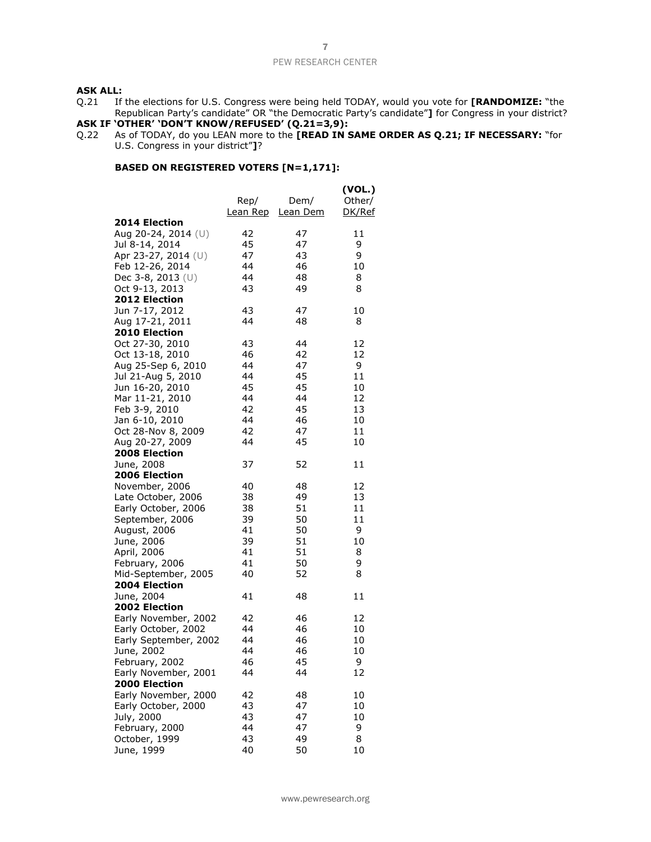#### **ASK ALL:**

Q.21 If the elections for U.S. Congress were being held TODAY, would you vote for **[RANDOMIZE:** "the Republican Party's candidate" OR "the Democratic Party's candidate"**]** for Congress in your district?

#### **ASK IF 'OTHER' 'DON'T KNOW/REFUSED' (Q.21=3,9):**

Q.22 As of TODAY, do you LEAN more to the **[READ IN SAME ORDER AS Q.21; IF NECESSARY:** "for U.S. Congress in your district"**]**?

#### **BASED ON REGISTERED VOTERS [N=1,171]:**

|                                       | Rep/<br><u>Lean Rep</u> | Dem/<br>Lean Dem | (VOL.)<br>Other/<br>DK/Ref |
|---------------------------------------|-------------------------|------------------|----------------------------|
| <b>2014 Election</b>                  |                         |                  |                            |
| Aug 20-24, 2014 (U)                   | 42                      | 47               | 11                         |
| Jul 8-14, 2014                        | 45                      | 47               | 9                          |
| Apr 23-27, 2014 (U)                   | 47                      | 43               | 9                          |
| Feb 12-26, 2014                       | 44                      | 46               | 10                         |
| Dec 3-8, 2013 (U)                     | 44                      | 48               | 8                          |
| Oct 9-13, 2013                        | 43                      | 49               | 8                          |
| 2012 Election                         |                         |                  |                            |
| Jun 7-17, 2012                        | 43                      | 47               | 10                         |
| Aug 17-21, 2011                       | 44                      | 48               | 8                          |
| 2010 Election                         |                         |                  |                            |
| Oct 27-30, 2010                       | 43                      | 44               | 12                         |
| Oct 13-18, 2010                       | 46                      | 42               | 12                         |
| Aug 25-Sep 6, 2010                    | 44                      | 47               | 9                          |
| Jul 21-Aug 5, 2010                    | 44                      | 45               | 11                         |
| Jun 16-20, 2010                       | 45                      | 45               | 10                         |
| Mar 11-21, 2010                       | 44                      | 44               | 12                         |
| Feb 3-9, 2010                         | 42                      | 45               | 13                         |
| Jan 6-10, 2010                        | 44                      | 46               | 10                         |
| Oct 28-Nov 8, 2009                    | 42                      | 47               | 11                         |
| Aug 20-27, 2009                       | 44                      | 45               | 10                         |
| 2008 Election                         |                         |                  |                            |
| June, 2008                            | 37                      | 52               | 11                         |
| 2006 Election                         |                         |                  |                            |
| November, 2006                        | 40                      | 48               | 12                         |
| Late October, 2006                    | 38                      | 49               | 13                         |
| Early October, 2006                   | 38                      | 51               | 11                         |
| September, 2006                       | 39                      | 50               | 11                         |
| August, 2006                          | 41                      | 50               | 9                          |
| June, 2006                            | 39                      | 51               | 10                         |
| April, 2006                           | 41                      | 51               | 8                          |
| February, 2006                        | 41                      | 50               | 9                          |
| Mid-September, 2005                   | 40                      | 52               | 8                          |
| 2004 Election                         |                         |                  |                            |
| June, 2004                            | 41                      | 48               | 11                         |
| 2002 Election                         |                         |                  |                            |
| Early November, 2002                  | 42                      | 46               | 12                         |
| Early October, 2002                   | 44                      | 46               | 10                         |
| Early September, 2002                 | 44                      | 46               | 10                         |
| June, 2002                            | 44                      | 46               | 10                         |
| February, 2002                        | 46                      | 45               | 9                          |
| Early November, 2001<br>2000 Election | 44                      | 44               | 12                         |
| Early November, 2000                  | 42                      | 48               | 10                         |
| Early October, 2000                   | 43                      | 47               | 10                         |
| July, 2000                            | 43                      | 47               | 10                         |
| February, 2000                        | 44                      | 47               | 9                          |
| October, 1999                         | 43                      | 49               | 8                          |
| June, 1999                            | 40                      | 50               | 10                         |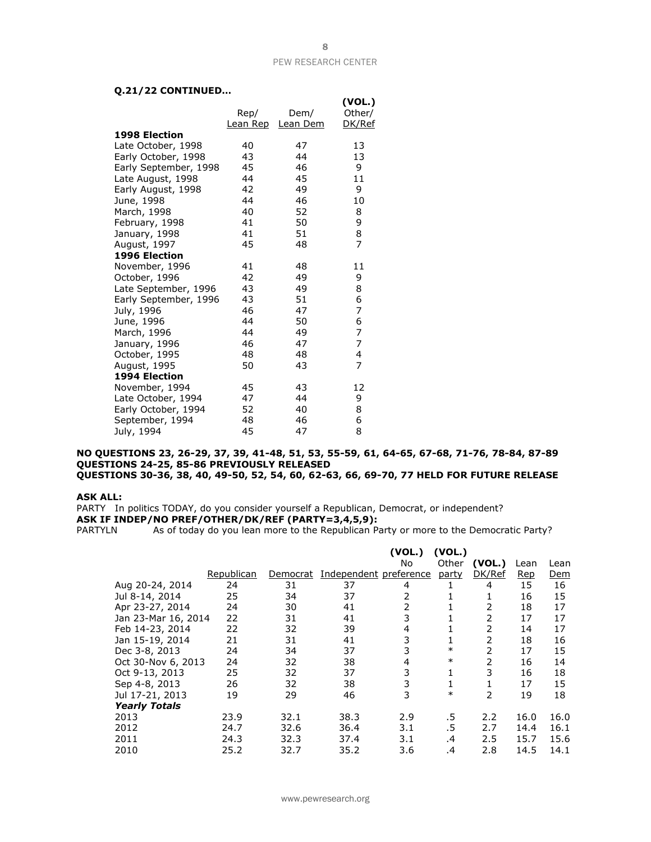#### **Q.21/22 CONTINUED…**

| עינוועט זייט פון      |                  |                  |                            |
|-----------------------|------------------|------------------|----------------------------|
|                       | Rep/<br>Lean Rep | Dem/<br>Lean Dem | (VOL.)<br>Other/<br>DK/Ref |
| <b>1998 Election</b>  |                  |                  |                            |
| Late October, 1998    | 40               | 47               | 13                         |
| Early October, 1998   | 43               | 44               | 13                         |
| Early September, 1998 | 45               | 46               | 9                          |
| Late August, 1998     | 44               | 45               | 11                         |
| Early August, 1998    | 42               | 49               | 9                          |
| June, 1998            | 44               | 46               | 10                         |
| March, 1998           | 40               | 52               | 8                          |
| February, 1998        | 41               | 50               | 9                          |
| January, 1998         | 41               | 51               | 8                          |
| August, 1997          | 45               | 48               | 7                          |
| 1996 Election         |                  |                  |                            |
| November, 1996        | 41               | 48               | 11                         |
| October, 1996         | 42               | 49               | 9                          |
| Late September, 1996  | 43               | 49               | 8                          |
| Early September, 1996 | 43               | 51               | 6                          |
| July, 1996            | 46               | 47               | 7                          |
| June, 1996            | 44               | 50               | 6                          |
| March, 1996           | 44               | 49               | $\overline{7}$             |
| January, 1996         | 46               | 47               | $\overline{7}$             |
| October, 1995         | 48               | 48               | 4                          |
| August, 1995          | 50               | 43               | $\overline{7}$             |
| 1994 Election         |                  |                  |                            |
| November, 1994        | 45               | 43               | 12                         |
| Late October, 1994    | 47               | 44               | 9                          |
| Early October, 1994   | 52               | 40               | 8                          |
| September, 1994       | 48               | 46               | 6                          |
| July, 1994            | 45               | 47               | 8                          |

#### **NO QUESTIONS 23, 26-29, 37, 39, 41-48, 51, 53, 55-59, 61, 64-65, 67-68, 71-76, 78-84, 87-89 QUESTIONS 24-25, 85-86 PREVIOUSLY RELEASED QUESTIONS 30-36, 38, 40, 49-50, 52, 54, 60, 62-63, 66, 69-70, 77 HELD FOR FUTURE RELEASE**

#### **ASK ALL:**

PARTY In politics TODAY, do you consider yourself a Republican, Democrat, or independent? **ASK IF INDEP/NO PREF/OTHER/DK/REF (PARTY=3,4,5,9):**

PARTYLN As of today do you lean more to the Republican Party or more to the Democratic Party?

|                      |            |          |                        | (VOL.)<br>No   | (VOL.)<br>Other | (VOL.) | Lean       | Lean       |
|----------------------|------------|----------|------------------------|----------------|-----------------|--------|------------|------------|
|                      | Republican | Democrat | Independent preference |                | party           | DK/Ref | <b>Rep</b> | <u>Dem</u> |
| Aug 20-24, 2014      | 24         | 31       | 37                     | 4              |                 | 4      | 15         | 16         |
| Jul 8-14, 2014       | 25         | 34       | 37                     | 2              | T               | 1      | 16         | 15         |
| Apr 23-27, 2014      | 24         | 30       | 41                     | $\overline{2}$ |                 | 2      | 18         | 17         |
| Jan 23-Mar 16, 2014  | 22         | 31       | 41                     | 3              |                 | 2      | 17         | 17         |
| Feb 14-23, 2014      | 22         | 32       | 39                     | 4              |                 | 2      | 14         | 17         |
| Jan 15-19, 2014      | 21         | 31       | 41                     | 3              |                 | 2      | 18         | 16         |
| Dec 3-8, 2013        | 24         | 34       | 37                     | 3              | $\ast$          | 2      | 17         | 15         |
| Oct 30-Nov 6, 2013   | 24         | 32       | 38                     | 4              | $\ast$          | 2      | 16         | 14         |
| Oct 9-13, 2013       | 25         | 32       | 37                     | 3              |                 | 3      | 16         | 18         |
| Sep 4-8, 2013        | 26         | 32       | 38                     | 3              |                 |        | 17         | 15         |
| Jul 17-21, 2013      | 19         | 29       | 46                     | 3              | $\ast$          | 2      | 19         | 18         |
| <b>Yearly Totals</b> |            |          |                        |                |                 |        |            |            |
| 2013                 | 23.9       | 32.1     | 38.3                   | 2.9            | .5              | 2.2    | 16.0       | 16.0       |
| 2012                 | 24.7       | 32.6     | 36.4                   | 3.1            | .5              | 2.7    | 14.4       | 16.1       |
| 2011                 | 24.3       | 32.3     | 37.4                   | 3.1            | $\cdot$         | 2.5    | 15.7       | 15.6       |
| 2010                 | 25.2       | 32.7     | 35.2                   | 3.6            | $\cdot$         | 2.8    | 14.5       | 14.1       |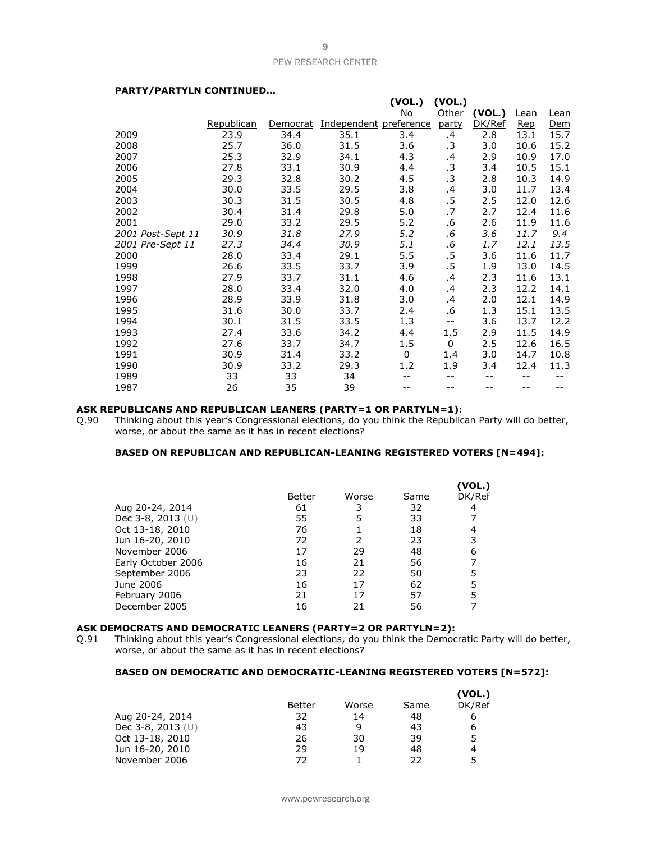**(VOL.) (VOL.)**

#### **PARTY/PARTYLN CONTINUED…**

|                   |            |          |                        | ( VUL. )    | ( VUL. ) |        |            |      |
|-------------------|------------|----------|------------------------|-------------|----------|--------|------------|------|
|                   |            |          |                        | No          | Other    | (VOL.) | Lean       | Lean |
|                   | Republican | Democrat | Independent preference |             | party    | DK/Ref | <u>Rep</u> | Dem  |
| 2009              | 23.9       | 34.4     | 35.1                   | 3.4         | $\cdot$  | 2.8    | 13.1       | 15.7 |
| 2008              | 25.7       | 36.0     | 31.5                   | 3.6         | .3       | 3.0    | 10.6       | 15.2 |
| 2007              | 25.3       | 32.9     | 34.1                   | 4.3         | .4       | 2.9    | 10.9       | 17.0 |
| 2006              | 27.8       | 33.1     | 30.9                   | 4.4         | .3       | 3.4    | 10.5       | 15.1 |
| 2005              | 29.3       | 32.8     | 30.2                   | 4.5         | .3       | 2.8    | 10.3       | 14.9 |
| 2004              | 30.0       | 33.5     | 29.5                   | 3.8         | $\cdot$  | 3.0    | 11.7       | 13.4 |
| 2003              | 30.3       | 31.5     | 30.5                   | 4.8         | .5       | 2.5    | 12.0       | 12.6 |
| 2002              | 30.4       | 31.4     | 29.8                   | 5.0         | .7       | 2.7    | 12.4       | 11.6 |
| 2001              | 29.0       | 33.2     | 29.5                   | 5.2         | .6       | 2.6    | 11.9       | 11.6 |
| 2001 Post-Sept 11 | 30.9       | 31.8     | 27.9                   | 5.2         | .6       | 3.6    | 11.7       | 9.4  |
| 2001 Pre-Sept 11  | 27.3       | 34.4     | 30.9                   | 5.1         | .6       | 1.7    | 12.1       | 13.5 |
| 2000              | 28.0       | 33.4     | 29.1                   | 5.5         | .5       | 3.6    | 11.6       | 11.7 |
| 1999              | 26.6       | 33.5     | 33.7                   | 3.9         | .5       | 1.9    | 13.0       | 14.5 |
| 1998              | 27.9       | 33.7     | 31.1                   | 4.6         | .4       | 2.3    | 11.6       | 13.1 |
| 1997              | 28.0       | 33.4     | 32.0                   | 4.0         | $\cdot$  | 2.3    | 12.2       | 14.1 |
| 1996              | 28.9       | 33.9     | 31.8                   | 3.0         | $\cdot$  | 2.0    | 12.1       | 14.9 |
| 1995              | 31.6       | 30.0     | 33.7                   | 2.4         | .6       | 1.3    | 15.1       | 13.5 |
| 1994              | 30.1       | 31.5     | 33.5                   | 1.3         | $ -$     | 3.6    | 13.7       | 12.2 |
| 1993              | 27.4       | 33.6     | 34.2                   | 4.4         | 1.5      | 2.9    | 11.5       | 14.9 |
| 1992              | 27.6       | 33.7     | 34.7                   | 1.5         | 0        | 2.5    | 12.6       | 16.5 |
| 1991              | 30.9       | 31.4     | 33.2                   | $\mathbf 0$ | 1.4      | 3.0    | 14.7       | 10.8 |
| 1990              | 30.9       | 33.2     | 29.3                   | 1.2         | 1.9      | 3.4    | 12.4       | 11.3 |
| 1989              | 33         | 33       | 34                     |             | $-1$     | --     |            |      |
| 1987              | 26         | 35       | 39                     |             |          | --     |            |      |

# **ASK REPUBLICANS AND REPUBLICAN LEANERS (PARTY=1 OR PARTYLN=1):**<br>Q.90 Thinking about this year's Congressional elections, do you think the Republic

Thinking about this year's Congressional elections, do you think the Republican Party will do better, worse, or about the same as it has in recent elections?

#### **BASED ON REPUBLICAN AND REPUBLICAN-LEANING REGISTERED VOTERS [N=494]:**

|                     |        |       |      | (VOL.) |
|---------------------|--------|-------|------|--------|
|                     | Better | Worse | Same | DK/Ref |
| Aug 20-24, 2014     | 61     | 3     | 32   | 4      |
| Dec 3-8, 2013 $(U)$ | 55     |       | 33   |        |
| Oct 13-18, 2010     | 76     |       | 18   |        |
| Jun 16-20, 2010     | 72     |       | 23   |        |
| November 2006       | 17     | 29    | 48   | 6      |
| Early October 2006  | 16     | 21    | 56   |        |
| September 2006      | 23     | 22    | 50   |        |
| June 2006           | 16     | 17    | 62   |        |
| February 2006       | 21     | 17    | 57   |        |
| December 2005       | 16     | 21    | 56   |        |

#### **ASK DEMOCRATS AND DEMOCRATIC LEANERS (PARTY=2 OR PARTYLN=2):**

Q.91 Thinking about this year's Congressional elections, do you think the Democratic Party will do better, worse, or about the same as it has in recent elections?

#### **BASED ON DEMOCRATIC AND DEMOCRATIC-LEANING REGISTERED VOTERS [N=572]:**

|                   |        |       |      | (VOL.) |
|-------------------|--------|-------|------|--------|
|                   | Better | Worse | Same | DK/Ref |
| Aug 20-24, 2014   | 32     | 14    | 48   | b      |
| Dec 3-8, 2013 (U) | 43     | q     | 43   | 6      |
| Oct 13-18, 2010   | 26     | 30    | 39   | 5      |
| Jun 16-20, 2010   | 29     | 19    | 48   | 4      |
| November 2006     | 72     |       | つつ   | 5      |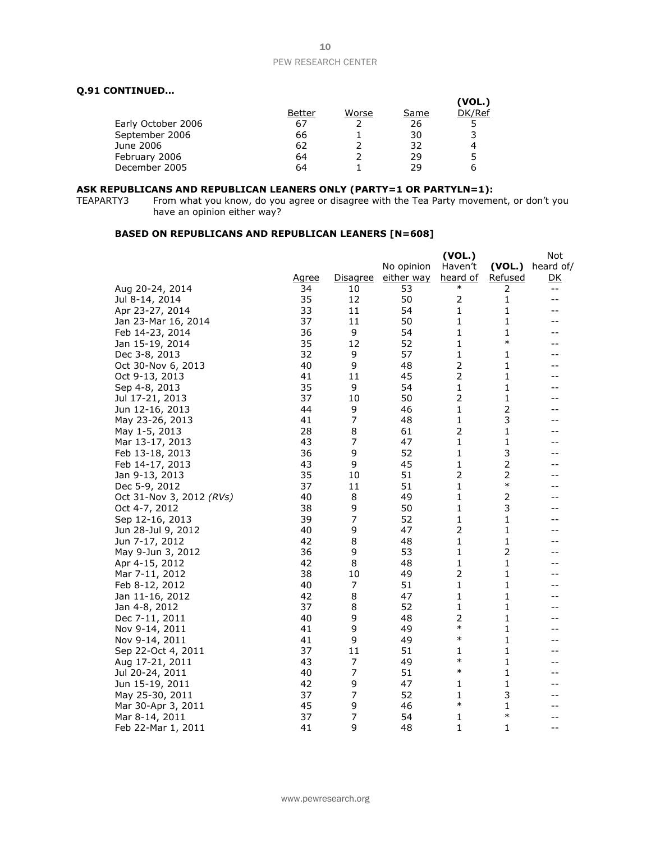#### **Q.91 CONTINUED…**

|                    |        |       |      | (VOL.) |
|--------------------|--------|-------|------|--------|
|                    | Better | Worse | Same | DK/Ref |
| Early October 2006 | 67     |       | 26   |        |
| September 2006     | 66     |       | 30   |        |
| June 2006          | 62     |       | 32   |        |
| February 2006      | 64     |       | 29   |        |
| December 2005      | 64     |       | 29   |        |
|                    |        |       |      |        |

#### **ASK REPUBLICANS AND REPUBLICAN LEANERS ONLY (PARTY=1 OR PARTYLN=1):**

TEAPARTY3 From what you know, do you agree or disagree with the Tea Party movement, or don't you have an opinion either way?

#### **BASED ON REPUBLICANS AND REPUBLICAN LEANERS [N=608]**

|                          |              |                 |            | (VOL.)         |         | Not       |
|--------------------------|--------------|-----------------|------------|----------------|---------|-----------|
|                          |              |                 | No opinion | Haven't        | (VOL.)  | heard of/ |
|                          | <u>Agree</u> | <b>Disagree</b> | either way | heard of       | Refused | <u>DК</u> |
| Aug 20-24, 2014          | 34           | 10              | 53         | $\ast$         | 2       | --        |
| Jul 8-14, 2014           | 35           | 12              | 50         | 2              | 1       | --        |
| Apr 23-27, 2014          | 33           | 11              | 54         | 1              | 1       | --        |
| Jan 23-Mar 16, 2014      | 37           | 11              | 50         | 1              | 1       | --        |
| Feb 14-23, 2014          | 36           | 9               | 54         | 1              | 1       | $-$       |
| Jan 15-19, 2014          | 35           | 12              | 52         | 1              | $\ast$  | --        |
| Dec 3-8, 2013            | 32           | 9               | 57         | 1              | 1       | --        |
| Oct 30-Nov 6, 2013       | 40           | 9               | 48         | $\overline{2}$ | 1       | --        |
| Oct 9-13, 2013           | 41           | 11              | 45         | 2              | 1       | --        |
| Sep 4-8, 2013            | 35           | 9               | 54         | 1              | 1       | --        |
| Jul 17-21, 2013          | 37           | 10              | 50         | 2              | 1       | --        |
| Jun 12-16, 2013          | 44           | 9               | 46         | 1              | 2       |           |
| May 23-26, 2013          | 41           | 7               | 48         | 1              | 3       | --        |
| May 1-5, 2013            | 28           | 8               | 61         | 2              | 1       | --        |
| Mar 13-17, 2013          | 43           | 7               | 47         | 1              | 1       | --        |
| Feb 13-18, 2013          | 36           | 9               | 52         | 1              | 3       | --        |
| Feb 14-17, 2013          | 43           | 9               | 45         | 1              | 2       |           |
| Jan 9-13, 2013           | 35           | 10              | 51         | $\overline{2}$ | 2       | --        |
| Dec 5-9, 2012            | 37           | 11              | 51         | 1              | $\ast$  | --        |
| Oct 31-Nov 3, 2012 (RVs) | 40           | 8               | 49         | 1              | 2       | --        |
| Oct 4-7, 2012            | 38           | 9               | 50         | 1              | 3       |           |
| Sep 12-16, 2013          | 39           | 7               | 52         | 1              | 1       | --        |
| Jun 28-Jul 9, 2012       | 40           | 9               | 47         | $\overline{2}$ | 1       | --        |
| Jun 7-17, 2012           | 42           | 8               | 48         | 1              | 1       | --        |
| May 9-Jun 3, 2012        | 36           | 9               | 53         | 1              | 2       | --        |
| Apr 4-15, 2012           | 42           | 8               | 48         | 1              | 1       |           |
| Mar 7-11, 2012           | 38           | 10              | 49         | 2              | 1       | --        |
| Feb 8-12, 2012           | 40           | 7               | 51         | 1              | 1       | --        |
| Jan 11-16, 2012          | 42           | 8               | 47         | 1              | 1       | --        |
| Jan 4-8, 2012            | 37           | 8               | 52         | 1              | 1       | --        |
| Dec 7-11, 2011           | 40           | 9               | 48         | 2              | 1       |           |
| Nov 9-14, 2011           | 41           | 9               | 49         | $\ast$         | 1       | --        |
| Nov 9-14, 2011           | 41           | 9               | 49         | $\ast$         | 1       |           |
| Sep 22-Oct 4, 2011       | 37           | 11              | 51         | 1              | 1       | --        |
| Aug 17-21, 2011          | 43           | 7               | 49         | $\ast$         | 1       | --        |
| Jul 20-24, 2011          | 40           | $\overline{7}$  | 51         | $\ast$         | 1       | --        |
| Jun 15-19, 2011          | 42           | 9               | 47         | 1              | 1       | --        |
| May 25-30, 2011          | 37           | 7               | 52         | 1              | 3       | --        |
| Mar 30-Apr 3, 2011       | 45           | 9               | 46         | $\ast$         | 1       | --        |
| Mar 8-14, 2011           | 37           | 7               | 54         | 1              | $\ast$  | --        |
| Feb 22-Mar 1, 2011       | 41           | 9               | 48         | 1              | 1       | $-1$      |